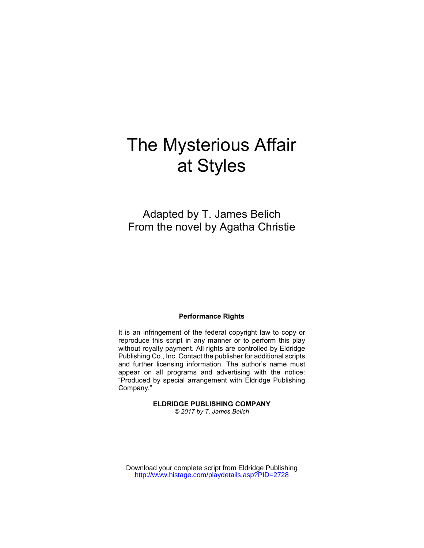# The Mysterious Affair at Styles

Adapted by T. James Belich From the novel by Agatha Christie

#### Performance Rights

It is an infringement of the federal copyright law to copy or reproduce this script in any manner or to perform this play without royalty payment. All rights are controlled by Eldridge Publishing Co., Inc. Contact the publisher for additional scripts and further licensing information. The author's name must appear on all programs and advertising with the notice: "Produced by special arrangement with Eldridge Publishing Company."

ELDRIDGE PUBLISHING COMPANY

© 2017 by T. James Belich

Download your complete script from Eldridge Publishing <http://www.histage.com/playdetails.asp?PID=2728>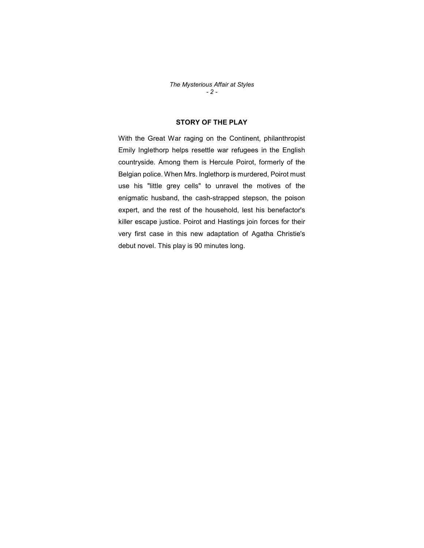The Mysterious Affair at Styles  $- 2 -$ 

## STORY OF THE PLAY

With the Great War raging on the Continent, philanthropist Emily Inglethorp helps resettle war refugees in the English countryside. Among them is Hercule Poirot, formerly of the Belgian police. When Mrs. Inglethorp is murdered, Poirot must use his "little grey cells" to unravel the motives of the enigmatic husband, the cash-strapped stepson, the poison expert, and the rest of the household, lest his benefactor's killer escape justice. Poirot and Hastings join forces for their very first case in this new adaptation of Agatha Christie's debut novel. This play is 90 minutes long.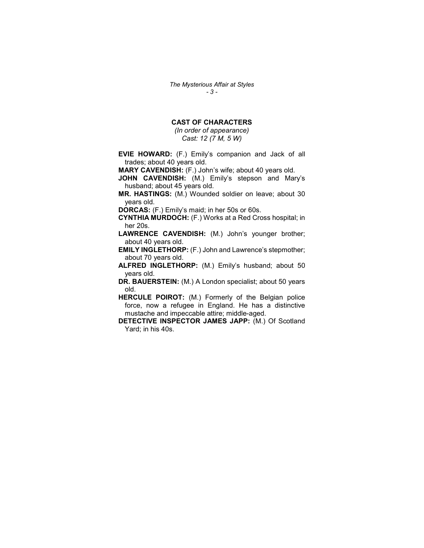The Mysterious Affair at Styles - 3 -

## CAST OF CHARACTERS

(In order of appearance) Cast: 12 (7 M, 5 W)

EVIE HOWARD: (F.) Emily's companion and Jack of all trades; about 40 years old.

MARY CAVENDISH: (F.) John's wife; about 40 years old.

JOHN CAVENDISH: (M.) Emily's stepson and Mary's husband; about 45 years old.

MR. HASTINGS: (M.) Wounded soldier on leave; about 30 years old.

DORCAS: (F.) Emily's maid; in her 50s or 60s.

CYNTHIA MURDOCH: (F.) Works at a Red Cross hospital; in her 20s.

LAWRENCE CAVENDISH: (M.) John's younger brother; about 40 years old.

EMILY INGLETHORP: (F.) John and Lawrence's stepmother; about 70 years old.

ALFRED INGLETHORP: (M.) Emily's husband; about 50 years old.

DR. BAUERSTEIN: (M.) A London specialist; about 50 years old.

HERCULE POIROT: (M.) Formerly of the Belgian police force, now a refugee in England. He has a distinctive mustache and impeccable attire; middle-aged.

DETECTIVE INSPECTOR JAMES JAPP: (M.) Of Scotland Yard; in his 40s.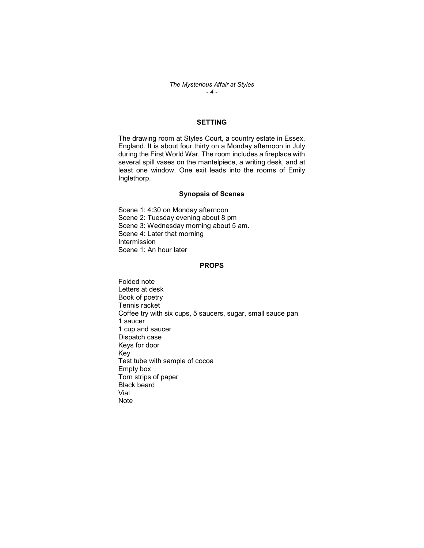## SETTING

The drawing room at Styles Court, a country estate in Essex, England. It is about four thirty on a Monday afternoon in July during the First World War. The room includes a fireplace with several spill vases on the mantelpiece, a writing desk, and at least one window. One exit leads into the rooms of Emily Inglethorp.

#### Synopsis of Scenes

Scene 1: 4:30 on Monday afternoon Scene 2: Tuesday evening about 8 pm Scene 3: Wednesday morning about 5 am. Scene 4: Later that morning Intermission Scene 1: An hour later

#### PROPS

Folded note Letters at desk Book of poetry Tennis racket Coffee try with six cups, 5 saucers, sugar, small sauce pan 1 saucer 1 cup and saucer Dispatch case Keys for door Key Test tube with sample of cocoa Empty box Torn strips of paper Black beard Vial Note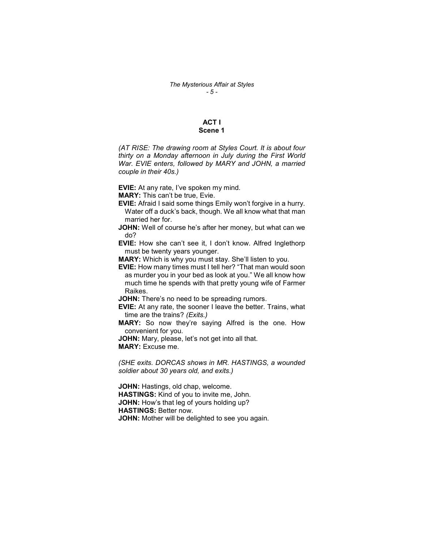### ACT I Scene 1

(AT RISE: The drawing room at Styles Court. It is about four thirty on a Monday afternoon in July during the First World War. EVIE enters, followed by MARY and JOHN, a married couple in their 40s.)

EVIE: At any rate, I've spoken my mind.

MARY: This can't be true, Evie.

- EVIE: Afraid I said some things Emily won't forgive in a hurry. Water off a duck's back, though. We all know what that man married her for.
- JOHN: Well of course he's after her money, but what can we do?
- EVIE: How she can't see it, I don't know. Alfred Inglethorp must be twenty years younger.
- MARY: Which is why you must stay. She'll listen to you.
- EVIE: How many times must I tell her? "That man would soon as murder you in your bed as look at you." We all know how much time he spends with that pretty young wife of Farmer Raikes.

**JOHN:** There's no need to be spreading rumors.

EVIE: At any rate, the sooner I leave the better. Trains, what time are the trains? (Exits.)

MARY: So now they're saying Alfred is the one. How convenient for you.

JOHN: Mary, please, let's not get into all that.

MARY: Excuse me.

(SHE exits. DORCAS shows in MR. HASTINGS, a wounded soldier about 30 years old, and exits.)

JOHN: Hastings, old chap, welcome. HASTINGS: Kind of you to invite me, John. JOHN: How's that leg of yours holding up? HASTINGS: Better now. **JOHN:** Mother will be delighted to see you again.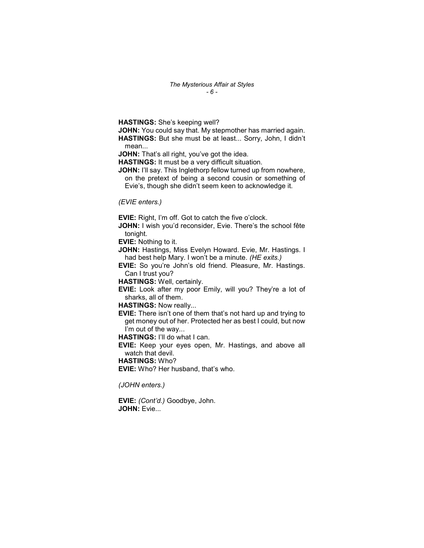The Mysterious Affair at Styles - 6 -

HASTINGS: She's keeping well?

JOHN: You could say that. My stepmother has married again. HASTINGS: But she must be at least... Sorry, John, I didn't mean...

JOHN: That's all right, you've got the idea.

HASTINGS: It must be a very difficult situation.

JOHN: I'll say. This Inglethorp fellow turned up from nowhere, on the pretext of being a second cousin or something of

Evie's, though she didn't seem keen to acknowledge it.

#### (EVIE enters.)

EVIE: Right, I'm off. Got to catch the five o'clock.

JOHN: I wish you'd reconsider, Evie. There's the school fête tonight.

EVIE: Nothing to it.

JOHN: Hastings, Miss Evelyn Howard. Evie, Mr. Hastings. I had best help Mary. I won't be a minute. (HE exits.)

EVIE: So you're John's old friend. Pleasure, Mr. Hastings. Can I trust you?

HASTINGS: Well, certainly.

EVIE: Look after my poor Emily, will you? They're a lot of sharks, all of them.

HASTINGS: Now really...

EVIE: There isn't one of them that's not hard up and trying to get money out of her. Protected her as best I could, but now I'm out of the way...

HASTINGS: I'll do what I can.

EVIE: Keep your eyes open, Mr. Hastings, and above all watch that devil.

HASTINGS: Who?

EVIE: Who? Her husband, that's who.

(JOHN enters.)

EVIE: (Cont'd.) Goodbye, John. JOHN: Evie...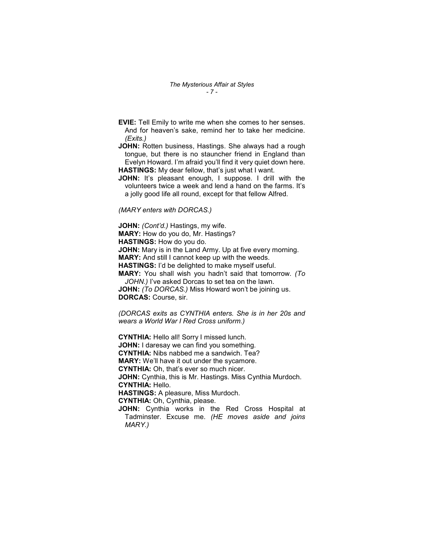EVIE: Tell Emily to write me when she comes to her senses. And for heaven's sake, remind her to take her medicine. (Exits.)

JOHN: Rotten business, Hastings. She always had a rough tongue, but there is no stauncher friend in England than Evelyn Howard. I'm afraid you'll find it very quiet down here. HASTINGS: My dear fellow, that's just what I want.

JOHN: It's pleasant enough, I suppose. I drill with the volunteers twice a week and lend a hand on the farms. It's a jolly good life all round, except for that fellow Alfred.

(MARY enters with DORCAS.)

JOHN: (Cont'd.) Hastings, my wife.

MARY: How do you do, Mr. Hastings?

HASTINGS: How do you do.

MARY.)

**JOHN:** Mary is in the Land Army. Up at five every morning.

MARY: And still I cannot keep up with the weeds.

HASTINGS: I'd be delighted to make myself useful.

MARY: You shall wish you hadn't said that tomorrow. (To JOHN.) I've asked Dorcas to set tea on the lawn.

JOHN: (To DORCAS.) Miss Howard won't be joining us. DORCAS: Course, sir.

(DORCAS exits as CYNTHIA enters. She is in her 20s and wears a World War I Red Cross uniform.)

CYNTHIA: Hello all! Sorry I missed lunch. **JOHN:** I daresay we can find you something. CYNTHIA: Nibs nabbed me a sandwich. Tea? MARY: We'll have it out under the sycamore. CYNTHIA: Oh, that's ever so much nicer. JOHN: Cynthia, this is Mr. Hastings. Miss Cynthia Murdoch. CYNTHIA: Hello. HASTINGS: A pleasure, Miss Murdoch. CYNTHIA: Oh, Cynthia, please. JOHN: Cynthia works in the Red Cross Hospital at Tadminster. Excuse me. (HE moves aside and joins